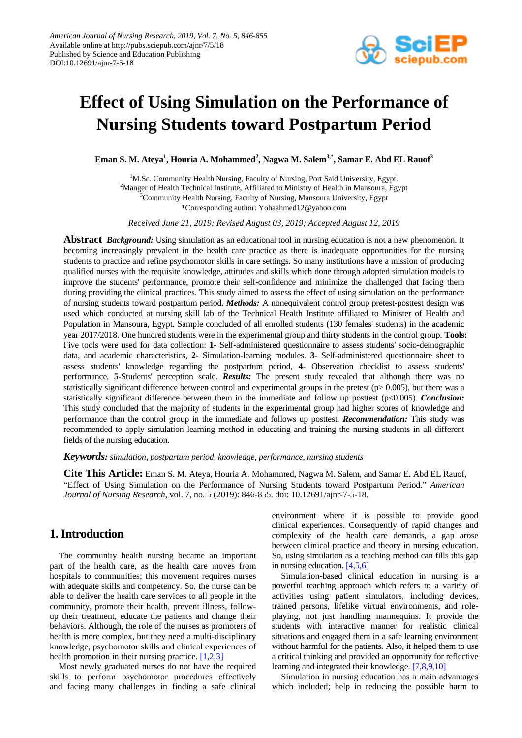

# **Effect of Using Simulation on the Performance of Nursing Students toward Postpartum Period**

**Eman S. M. Ateya<sup>1</sup> , Houria A. Mohammed<sup>2</sup> , Nagwa M. Salem3,\*, Samar E. Abd EL Rauof3**

<sup>1</sup>M.Sc. Community Health Nursing, Faculty of Nursing, Port Said University, Egypt. <sup>2</sup>Manger of Health Technical Institute, Affiliated to Ministry of Health in Mansoura, Egypt  $\frac{3}{2}$ Community Health Nursing, Egypty of Nursing, Mansoura University, Egypt <sup>3</sup>Community Health Nursing, Faculty of Nursing, Mansoura University, Egypt \*Corresponding author: Yohaahmed12@yahoo.com

*Received June 21, 2019; Revised August 03, 2019; Accepted August 12, 2019*

**Abstract** *Background:* Using simulation as an educational tool in nursing education is not a new phenomenon. It becoming increasingly prevalent in the health care practice as there is inadequate opportunities for the nursing students to practice and refine psychomotor skills in care settings. So many institutions have a mission of producing qualified nurses with the requisite knowledge, attitudes and skills which done through adopted simulation models to improve the students' performance, promote their self-confidence and minimize the challenged that facing them during providing the clinical practices. This study aimed to assess the effect of using simulation on the performance of nursing students toward postpartum period. *Methods:* A nonequivalent control group pretest-posttest design was used which conducted at nursing skill lab of the Technical Health Institute affiliated to Minister of Health and Population in Mansoura, Egypt. Sample concluded of all enrolled students (130 females' students) in the academic year 2017/2018. One hundred students were in the experimental group and thirty students in the control group. **Tools:** Five tools were used for data collection: **1***-* Self-administered questionnaire to assess students' socio-demographic data, and academic characteristics, **2***-* Simulation-learning modules. **3***-* Self-administered questionnaire sheet to assess students' knowledge regarding the postpartum period, **4**- Observation checklist to assess students' performance, **5***-*Students' perception scale. *Results:* The present study revealed that although there was no statistically significant difference between control and experimental groups in the pretest (p> 0.005), but there was a statistically significant difference between them in the immediate and follow up posttest (p<0.005). *Conclusion:* This study concluded that the majority of students in the experimental group had higher scores of knowledge and performance than the control group in the immediate and follows up posttest. *Recommendation:* This study was recommended to apply simulation learning method in educating and training the nursing students in all different fields of the nursing education.

*Keywords: simulation, postpartum period, knowledge, performance, nursing students*

**Cite This Article:** Eman S. M. Ateya, Houria A. Mohammed, Nagwa M. Salem, and Samar E. Abd EL Rauof, "Effect of Using Simulation on the Performance of Nursing Students toward Postpartum Period." *American Journal of Nursing Research*, vol. 7, no. 5 (2019): 846-855. doi: 10.12691/ajnr-7-5-18.

# **1. Introduction**

The community health nursing became an important part of the health care, as the health care moves from hospitals to communities; this movement requires nurses with adequate skills and competency. So, the nurse can be able to deliver the health care services to all people in the community, promote their health, prevent illness, followup their treatment, educate the patients and change their behaviors. Although, the role of the nurses as promoters of health is more complex, but they need a multi-disciplinary knowledge, psychomotor skills and clinical experiences of health promotion in their nursing practice. [\[1,2,3\]](#page-8-0)

Most newly graduated nurses do not have the required skills to perform psychomotor procedures effectively and facing many challenges in finding a safe clinical environment where it is possible to provide good clinical experiences. Consequently of rapid changes and complexity of the health care demands, a gap arose between clinical practice and theory in nursing education. So, using simulation as a teaching method can fills this gap in nursing education. [\[4,5,6\]](#page-8-1)

Simulation-based clinical education in nursing is a powerful teaching approach which refers to a variety of activities using patient simulators, including devices, trained persons, lifelike virtual environments, and roleplaying, not just handling mannequins. It provide the students with interactive manner for realistic clinical situations and engaged them in a safe learning environment without harmful for the patients. Also, it helped them to use a critical thinking and provided an opportunity for reflective learning and integrated their knowledge. [\[7,8,9,10\]](#page-8-2)

Simulation in nursing education has a main advantages which included; help in reducing the possible harm to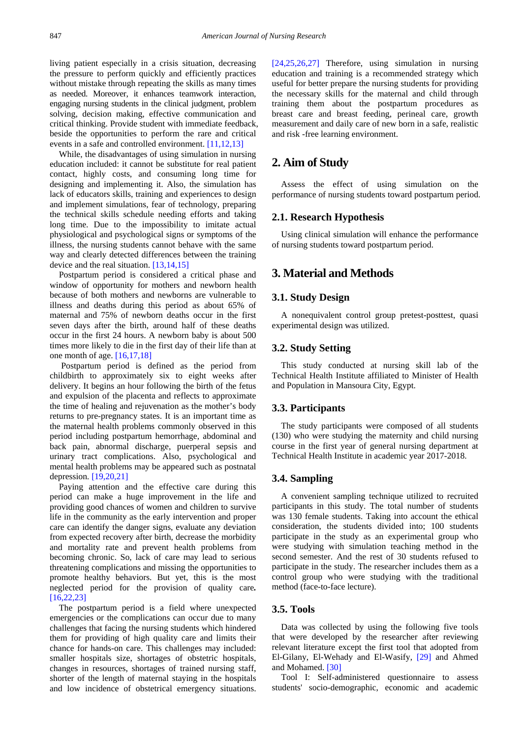living patient especially in a crisis situation, decreasing the pressure to perform quickly and efficiently practices without mistake through repeating the skills as many times as needed. Moreover, it enhances teamwork interaction, engaging nursing students in the clinical judgment, problem solving, decision making, effective communication and critical thinking. Provide student with immediate feedback, beside the opportunities to perform the rare and critical events in a safe and controlled environment. [\[11,12,13\]](#page-8-3)

While, the disadvantages of using simulation in nursing education included: it cannot be substitute for real patient contact, highly costs, and consuming long time for designing and implementing it. Also, the simulation has lack of educators skills, training and experiences to design and implement simulations, fear of technology, preparing the technical skills schedule needing efforts and taking long time. Due to the impossibility to imitate actual physiological and psychological signs or symptoms of the illness, the nursing students cannot behave with the same way and clearly detected differences between the training device and the real situation. [\[13,14,15\]](#page-8-4)

Postpartum period is considered a critical phase and window of opportunity for mothers and newborn health because of both mothers and newborns are vulnerable to illness and deaths during this period as about 65% of maternal and 75% of newborn deaths occur in the first seven days after the birth, around half of these deaths occur in the first 24 hours. A newborn baby is about 500 times more likely to die in the first day of their life than at one month of age. [\[16,17,18\]](#page-8-5)

Postpartum period is defined as the period from childbirth to approximately six to eight weeks after delivery. It begins an hour following the birth of the fetus and expulsion of the placenta and reflects to approximate the time of healing and rejuvenation as the mother's body returns to pre-pregnancy states. It is an important time as the maternal health problems commonly observed in this period including postpartum hemorrhage, abdominal and back pain, abnormal discharge, puerperal sepsis and urinary tract complications. Also, psychological and mental health problems may be appeared such as postnatal depression*.* [\[19,20,21\]](#page-8-6)

Paying attention and the effective care during this period can make a huge improvement in the life and providing good chances of women and children to survive life in the community as the early intervention and proper care can identify the danger signs, evaluate any deviation from expected recovery after birth, decrease the morbidity and mortality rate and prevent health problems from becoming chronic. So, lack of care may lead to serious threatening complications and missing the opportunities to promote healthy behaviors. But yet, this is the most neglected period for the provision of quality care*.* [\[16,22,23\]](#page-8-5)

The postpartum period is a field where unexpected emergencies or the complications can occur due to many challenges that facing the nursing students which hindered them for providing of high quality care and limits their chance for hands-on care. This challenges may included: smaller hospitals size, shortages of obstetric hospitals, changes in resources, shortages of trained nursing staff, shorter of the length of maternal staying in the hospitals and low incidence of obstetrical emergency situations.

[\[24,25,26,27\]](#page-9-0) Therefore, using simulation in nursing education and training is a recommended strategy which useful for better prepare the nursing students for providing the necessary skills for the maternal and child through training them about the postpartum procedures as breast care and breast feeding, perineal care, growth measurement and daily care of new born in a safe, realistic and risk -free learning environment.

# **2. Aim of Study**

Assess the effect of using simulation on the performance of nursing students toward postpartum period.

## **2.1. Research Hypothesis**

Using clinical simulation will enhance the performance of nursing students toward postpartum period.

# **3. Material and Methods**

### **3.1. Study Design**

A nonequivalent control group pretest-posttest, quasi experimental design was utilized.

### **3.2. Study Setting**

This study conducted at nursing skill lab of the Technical Health Institute affiliated to Minister of Health and Population in Mansoura City, Egypt.

### **3.3. Participants**

The study participants were composed of all students (130) who were studying the maternity and child nursing course in the first year of general nursing department at Technical Health Institute in academic year 2017-2018.

### **3.4. Sampling**

A convenient sampling technique utilized to recruited participants in this study. The total number of students was 130 female students. Taking into account the ethical consideration, the students divided into; 100 students participate in the study as an experimental group who were studying with simulation teaching method in the second semester. And the rest of 30 students refused to participate in the study. The researcher includes them as a control group who were studying with the traditional method (face-to-face lecture).

# **3.5. Tools**

Data was collected by using the following five tools that were developed by the researcher after reviewing relevant literature except the first tool that adopted from El-Gilany, El-Wehady and El-Wasify, [\[29\]](#page-9-1) and Ahmed and Mohamed. [\[30\]](#page-9-2)

Tool I: Self-administered questionnaire to assess students' socio-demographic, economic and academic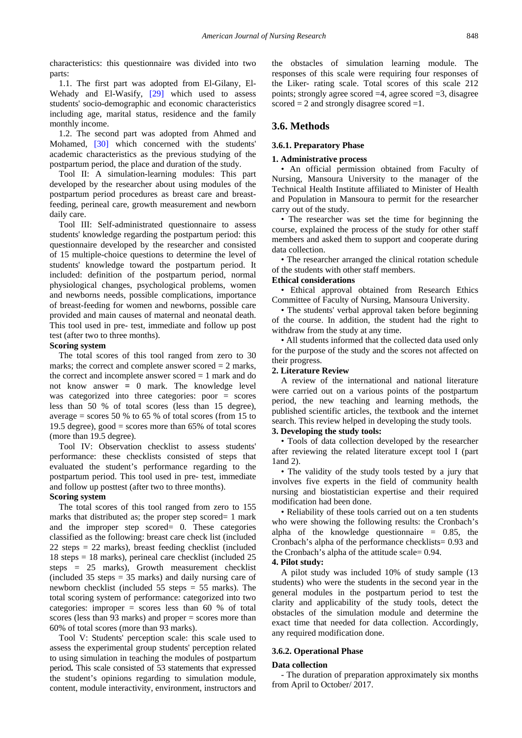characteristics: this questionnaire was divided into two parts:

1.1. The first part was adopted from El-Gilany, El-Wehady and El-Wasify, [\[29\]](#page-9-1) which used to assess students' socio-demographic and economic characteristics including age, marital status, residence and the family monthly income.

1.2. The second part was adopted from Ahmed and Mohamed, [\[30\]](#page-9-2) which concerned with the students' academic characteristics as the previous studying of the postpartum period, the place and duration of the study.

Tool II: A simulation-learning modules: This part developed by the researcher about using modules of the postpartum period procedures as breast care and breastfeeding, perineal care, growth measurement and newborn daily care.

Tool III: Self-administrated questionnaire to assess students' knowledge regarding the postpartum period: this questionnaire developed by the researcher and consisted of 15 multiple-choice questions to determine the level of students' knowledge toward the postpartum period. It included: definition of the postpartum period, normal physiological changes, psychological problems, women and newborns needs, possible complications, importance of breast-feeding for women and newborns, possible care provided and main causes of maternal and neonatal death. This tool used in pre- test, immediate and follow up post test (after two to three months).

#### **Scoring system**

The total scores of this tool ranged from zero to 30 marks; the correct and complete answer scored  $= 2$  marks, the correct and incomplete answer scored  $= 1$  mark and do not know answer **=** 0 mark. The knowledge level was categorized into three categories: poor = scores less than 50 % of total scores (less than 15 degree), average  $=$  scores 50 % to 65 % of total scores (from 15 to 19.5 degree), good = scores more than  $65\%$  of total scores (more than 19.5 degree).

Tool IV: Observation checklist to assess students' performance: these checklists consisted of steps that evaluated the student's performance regarding to the postpartum period. This tool used in pre- test, immediate and follow up posttest (after two to three months).

### **Scoring system**

The total scores of this tool ranged from zero to 155 marks that distributed as; the proper step scored= 1 mark and the improper step scored= 0. These categories classified as the following: breast care check list (included 22 steps = 22 marks), breast feeding checklist (included 18 steps = 18 marks), perineal care checklist (included 25 steps = 25 marks), Growth measurement checklist (included 35 steps = 35 marks) and daily nursing care of newborn checklist (included 55 steps = 55 marks). The total scoring system of performance: categorized into two categories: improper = scores less than 60 % of total scores (less than 93 marks) and proper = scores more than 60% of total scores (more than 93 marks).

Tool V: Students' perception scale: this scale used to assess the experimental group students' perception related to using simulation in teaching the modules of postpartum period**.** This scale consisted of 53 statements that expressed the student's opinions regarding to simulation module, content, module interactivity, environment, instructors and

the obstacles of simulation learning module. The responses of this scale were requiring four responses of the Liker- rating scale. Total scores of this scale 212 points; strongly agree scored  $=4$ , agree scored  $=3$ , disagree scored  $= 2$  and strongly disagree scored  $= 1$ .

### **3.6. Methods**

#### **3.6.1. Preparatory Phase**

#### **1. Administrative process**

• An official permission obtained from Faculty of Nursing, Mansoura University to the manager of the Technical Health Institute affiliated to Minister of Health and Population in Mansoura to permit for the researcher carry out of the study.

• The researcher was set the time for beginning the course, explained the process of the study for other staff members and asked them to support and cooperate during data collection.

• The researcher arranged the clinical rotation schedule of the students with other staff members.

#### **Ethical considerations**

• Ethical approval obtained from Research Ethics Committee of Faculty of Nursing, Mansoura University.

• The students' verbal approval taken before beginning of the course. In addition, the student had the right to withdraw from the study at any time.

• All students informed that the collected data used only for the purpose of the study and the scores not affected on their progress.

#### **2. Literature Review**

A review of the international and national literature were carried out on a various points of the postpartum period, the new teaching and learning methods, the published scientific articles, the textbook and the internet search. This review helped in developing the study tools.

### **3. Developing the study tools:**

• Tools of data collection developed by the researcher after reviewing the related literature except tool I (part 1and 2).

• The validity of the study tools tested by a jury that involves five experts in the field of community health nursing and biostatistician expertise and their required modification had been done.

• Reliability of these tools carried out on a ten students who were showing the following results: the Cronbach's alpha of the knowledge questionnaire  $= 0.85$ , the Cronbach's alpha of the performance checklists= 0.93 and the Cronbach's alpha of the attitude scale= 0.94.

#### **4. Pilot study:**

A pilot study was included 10% of study sample (13 students) who were the students in the second year in the general modules in the postpartum period to test the clarity and applicability of the study tools, detect the obstacles of the simulation module and determine the exact time that needed for data collection. Accordingly, any required modification done.

#### **3.6.2. Operational Phase**

#### **Data collection**

- The duration of preparation approximately six months from April to October/ 2017.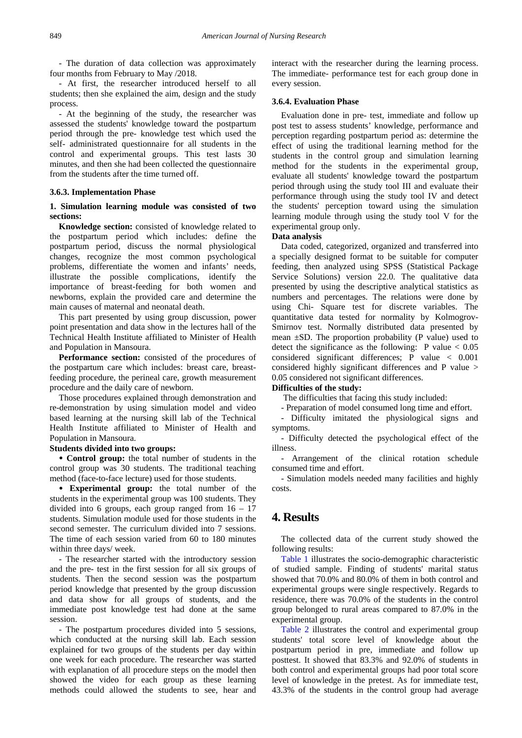- The duration of data collection was approximately four months from February to May /2018.

- At first, the researcher introduced herself to all students; then she explained the aim, design and the study process.

- At the beginning of the study, the researcher was assessed the students' knowledge toward the postpartum period through the pre- knowledge test which used the self- administrated questionnaire for all students in the control and experimental groups. This test lasts 30 minutes, and then she had been collected the questionnaire from the students after the time turned off.

#### **3.6.3. Implementation Phase**

### **1. Simulation learning module was consisted of two sections:**

**Knowledge section:** consisted of knowledge related to the postpartum period which includes: define the postpartum period, discuss the normal physiological changes, recognize the most common psychological problems, differentiate the women and infants' needs, illustrate the possible complications, identify the importance of breast-feeding for both women and newborns, explain the provided care and determine the main causes of maternal and neonatal death.

This part presented by using group discussion, power point presentation and data show in the lectures hall of the Technical Health Institute affiliated to Minister of Health and Population in Mansoura.

**Performance section:** consisted of the procedures of the postpartum care which includes: breast care, breastfeeding procedure, the perineal care, growth measurement procedure and the daily care of newborn.

Those procedures explained through demonstration and re-demonstration by using simulation model and video based learning at the nursing skill lab of the Technical Health Institute affiliated to Minister of Health and Population in Mansoura.

# **Students divided into two groups:**

 **Control group:** the total number of students in the control group was 30 students. The traditional teaching method (face-to-face lecture) used for those students.

 **Experimental group:** the total number of the students in the experimental group was 100 students. They divided into 6 groups, each group ranged from 16 – 17 students. Simulation module used for those students in the second semester. The curriculum divided into 7 sessions. The time of each session varied from 60 to 180 minutes within three days/ week.

- The researcher started with the introductory session and the pre- test in the first session for all six groups of students. Then the second session was the postpartum period knowledge that presented by the group discussion and data show for all groups of students, and the immediate post knowledge test had done at the same session.

- The postpartum procedures divided into 5 sessions, which conducted at the nursing skill lab. Each session explained for two groups of the students per day within one week for each procedure. The researcher was started with explanation of all procedure steps on the model then showed the video for each group as these learning methods could allowed the students to see, hear and interact with the researcher during the learning process. The immediate- performance test for each group done in every session.

### **3.6.4. Evaluation Phase**

Evaluation done in pre- test, immediate and follow up post test to assess students' knowledge, performance and perception regarding postpartum period as: determine the effect of using the traditional learning method for the students in the control group and simulation learning method for the students in the experimental group, evaluate all students' knowledge toward the postpartum period through using the study tool III and evaluate their performance through using the study tool IV and detect the students' perception toward using the simulation learning module through using the study tool V for the experimental group only.

#### **Data analysis**

Data coded, categorized, organized and transferred into a specially designed format to be suitable for computer feeding, then analyzed using SPSS (Statistical Package Service Solutions) version 22.0. The qualitative data presented by using the descriptive analytical statistics as numbers and percentages. The relations were done by using Chi- Square test for discrete variables. The quantitative data tested for normality by Kolmogrov-Smirnov test. Normally distributed data presented by mean  $\pm$ SD. The proportion probability (P value) used to detect the significance as the following: P value  $< 0.05$ considered significant differences; P value < 0.001 considered highly significant differences and P value > 0.05 considered not significant differences.

#### **Difficulties of the study:**

The difficulties that facing this study included:

- Preparation of model consumed long time and effort.

- Difficulty imitated the physiological signs and symptoms.

- Difficulty detected the psychological effect of the illness.

- Arrangement of the clinical rotation schedule consumed time and effort.

- Simulation models needed many facilities and highly costs.

# **4. Results**

The collected data of the current study showed the following results:

[Table 1](#page-4-0) illustrates the socio-demographic characteristic of studied sample. Finding of students' marital status showed that 70.0% and 80.0% of them in both control and experimental groups were single respectively. Regards to residence, there was 70.0% of the students in the control group belonged to rural areas compared to 87.0% in the experimental group.

[Table 2](#page-5-0) illustrates the control and experimental group students' total score level of knowledge about the postpartum period in pre, immediate and follow up posttest. It showed that 83.3% and 92.0% of students in both control and experimental groups had poor total score level of knowledge in the pretest. As for immediate test, 43.3% of the students in the control group had average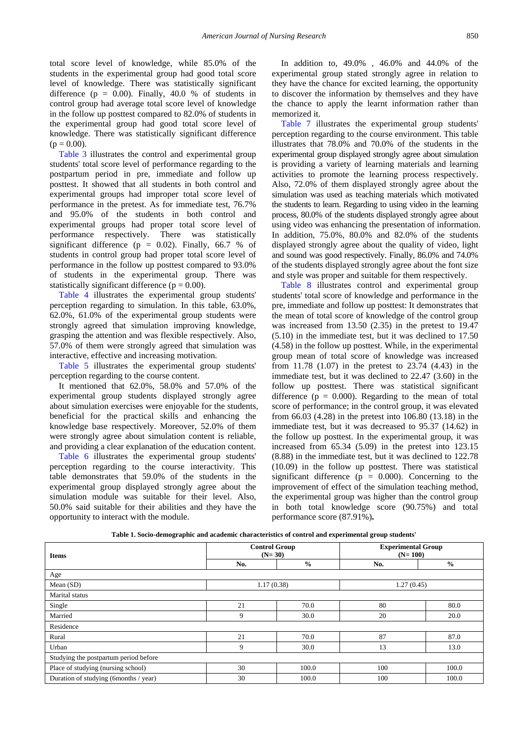total score level of knowledge, while 85.0% of the students in the experimental group had good total score level of knowledge. There was statistically significant difference ( $p = 0.00$ ). Finally, 40.0 % of students in control group had average total score level of knowledge in the follow up posttest compared to 82.0% of students in the experimental group had good total score level of knowledge. There was statistically significant difference  $(p = 0.00)$ .

[Table 3](#page-5-1) illustrates the control and experimental group students' total score level of performance regarding to the postpartum period in pre, immediate and follow up posttest. It showed that all students in both control and experimental groups had improper total score level of performance in the pretest. As for immediate test, 76.7% and 95.0% of the students in both control and experimental groups had proper total score level of performance respectively. There was statistically significant difference ( $p = 0.02$ ). Finally, 66.7 % of students in control group had proper total score level of performance in the follow up posttest compared to 93.0% of students in the experimental group. There was statistically significant difference ( $p = 0.00$ ).

[Table 4](#page-5-2) illustrates the experimental group students' perception regarding to simulation. In this table, 63.0%, 62.0%, 61.0% of the experimental group students were strongly agreed that simulation improving knowledge, grasping the attention and was flexible respectively. Also, 57.0% of them were strongly agreed that simulation was interactive, effective and increasing motivation.

[Table 5](#page-5-3) illustrates the experimental group students' perception regarding to the course content.

It mentioned that 62.0%, 58.0% and 57.0% of the experimental group students displayed strongly agree about simulation exercises were enjoyable for the students, beneficial for the practical skills and enhancing the knowledge base respectively. Moreover, 52.0% of them were strongly agree about simulation content is reliable, and providing a clear explanation of the education content.

[Table 6](#page-6-0) illustrates the experimental group students' perception regarding to the course interactivity. This table demonstrates that 59.0% of the students in the experimental group displayed strongly agree about the simulation module was suitable for their level. Also, 50.0% said suitable for their abilities and they have the opportunity to interact with the module.

In addition to, 49.0% , 46.0% and 44.0% of the experimental group stated strongly agree in relation to they have the chance for excited learning, the opportunity to discover the information by themselves and they have the chance to apply the learnt information rather than memorized it.

[Table 7](#page-6-1) illustrates the experimental group students' perception regarding to the course environment. This table illustrates that 78.0% and 70.0% of the students in the experimental group displayed strongly agree about simulation is providing a variety of learning materials and learning activities to promote the learning process respectively. Also, 72.0% of them displayed strongly agree about the simulation was used as teaching materials which motivated the students to learn. Regarding to using video in the learning process, 80.0% of the students displayed strongly agree about using video was enhancing the presentation of information. In addition, 75.0%, 80.0% and 82.0% of the students displayed strongly agree about the quality of video, light and sound was good respectively. Finally, 86.0% and 74.0% of the students displayed strongly agree about the font size and style was proper and suitable for them respectively.

[Table 8](#page-6-2) illustrates control and experimental group students' total score of knowledge and performance in the pre, immediate and follow up posttest: It demonstrates that the mean of total score of knowledge of the control group was increased from 13.50 (2.35) in the pretest to 19.47 (5.10) in the immediate test, but it was declined to 17.50 (4.58) in the follow up posttest. While, in the experimental group mean of total score of knowledge was increased from 11.78 (1.07) in the pretest to 23.74 (4.43) in the immediate test, but it was declined to 22.47 (3.60) in the follow up posttest. There was statistical significant difference ( $p = 0.000$ ). Regarding to the mean of total score of performance; in the control group, it was elevated from 66.03 (4.28) in the pretest into 106.80 (13.18) in the immediate test, but it was decreased to 95.37 (14.62) in the follow up posttest. In the experimental group, it was increased from 65.34 (5.09) in the pretest into 123.15 (8.88) in the immediate test, but it was declined to 122.78 (10.09) in the follow up posttest. There was statistical significant difference ( $p = 0.000$ ). Concerning to the improvement of effect of the simulation teaching method, the experimental group was higher than the control group in both total knowledge score (90.75%) and total performance score (87.91%)**.**

<span id="page-4-0"></span>

| <b>Items</b>                          |                      | <b>Control Group</b><br>$(N=30)$ | <b>Experimental Group</b><br>$(N=100)$ |               |
|---------------------------------------|----------------------|----------------------------------|----------------------------------------|---------------|
|                                       | $\frac{6}{6}$<br>No. |                                  | No.                                    | $\frac{6}{6}$ |
| Age                                   |                      |                                  |                                        |               |
| Mean (SD)                             |                      | 1.17(0.38)                       | 1.27(0.45)                             |               |
| Marital status                        |                      |                                  |                                        |               |
| Single                                | 21                   | 70.0                             | 80                                     | 80.0          |
| Married                               | 9                    | 30.0                             | 20                                     | 20.0          |
| Residence                             |                      |                                  |                                        |               |
| Rural                                 | 21                   | 70.0                             | 87                                     | 87.0          |
| Urban                                 | 9                    | 30.0                             | 13                                     | 13.0          |
| Studying the postpartum period before |                      |                                  |                                        |               |
| Place of studying (nursing school)    | 30                   | 100.0                            | 100                                    | 100.0         |
| Duration of studying (6months / year) | 30                   | 100.0                            | 100                                    | 100.0         |

**Table 1. Socio-demographic and academic characteristics of control and experimental group students'**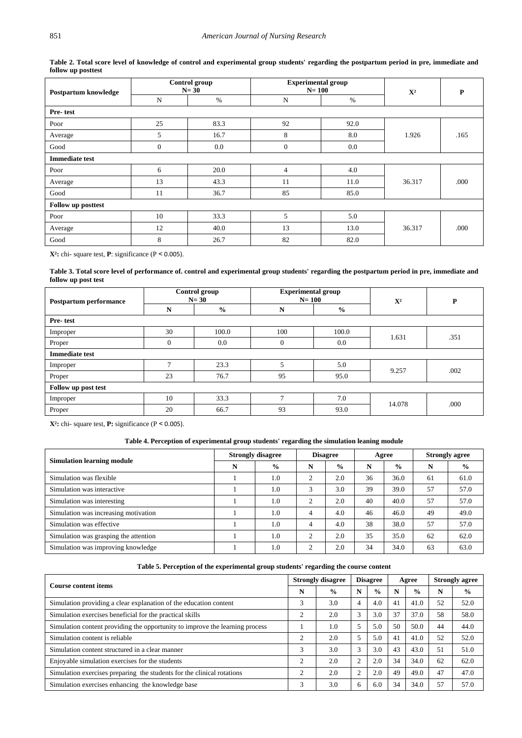<span id="page-5-0"></span>

| Postpartum knowledge      |          | Control group<br>$N=30$ | <b>Experimental group</b><br>$N=100$ |      | ${\bf X}^2$ | $\mathbf P$ |  |
|---------------------------|----------|-------------------------|--------------------------------------|------|-------------|-------------|--|
|                           | N        | $\%$                    | ${\bf N}$                            | $\%$ |             |             |  |
| Pre-test                  |          |                         |                                      |      |             |             |  |
| Poor                      | 25       | 83.3                    | 92                                   | 92.0 |             |             |  |
| Average                   | 5        | 16.7                    | 8                                    | 8.0  | 1.926       | .165        |  |
| Good                      | $\theta$ | 0.0                     | $\theta$                             | 0.0  |             |             |  |
| <b>Immediate test</b>     |          |                         |                                      |      |             |             |  |
| Poor                      | 6        | 20.0                    | 4                                    | 4.0  |             |             |  |
| Average                   | 13       | 43.3                    | 11                                   | 11.0 | 36.317      | .000        |  |
| Good                      | 11       | 36.7                    | 85                                   | 85.0 |             |             |  |
| <b>Follow up posttest</b> |          |                         |                                      |      |             |             |  |
| Poor                      | 10       | 33.3                    | 5                                    | 5.0  |             |             |  |
| Average                   | 12       | 40.0                    | 13                                   | 13.0 | 36.317      | .000        |  |
| Good                      | 8        | 26.7                    | 82                                   | 82.0 |             |             |  |

**Table 2. Total score level of knowledge of control and experimental group students' regarding the postpartum period in pre, immediate and follow up posttest**

**X²:** chi- square test, **P**: significance (P ˂ 0.005).

**Table 3. Total score level of performance of. control and experimental group students' regarding the postpartum period in pre, immediate and follow up post test**

<span id="page-5-1"></span>

| Postpartum performance | Control group<br>$N=30$ |               | <b>Experimental group</b><br>$N=100$ |               | $\mathbf{X}^2$ | $\mathbf{P}$ |  |  |  |  |  |
|------------------------|-------------------------|---------------|--------------------------------------|---------------|----------------|--------------|--|--|--|--|--|
|                        | N                       | $\frac{6}{9}$ | N                                    | $\frac{6}{6}$ |                |              |  |  |  |  |  |
| Pre-test               |                         |               |                                      |               |                |              |  |  |  |  |  |
| Improper               | 30                      | 100.0         | 100                                  | 100.0         | 1.631          | .351         |  |  |  |  |  |
| Proper                 | $\theta$                | 0.0           | $\overline{0}$                       | 0.0           |                |              |  |  |  |  |  |
| <b>Immediate test</b>  |                         |               |                                      |               |                |              |  |  |  |  |  |
| Improper               | $\mathbf{r}$            | 23.3          | 5                                    | 5.0           | 9.257          | .002         |  |  |  |  |  |
| Proper                 | 23                      | 76.7          | 95                                   | 95.0          |                |              |  |  |  |  |  |
| Follow up post test    |                         |               |                                      |               |                |              |  |  |  |  |  |
| Improper               | 10                      | 33.3          | 7                                    | 7.0           | 14.078         | .000         |  |  |  |  |  |
| Proper                 | 20                      | 66.7          | 93                                   | 93.0          |                |              |  |  |  |  |  |

**X²:** chi- square test, **P:** significance (P ˂ 0.005).

# **Table 4. Perception of experimental group students' regarding the simulation leaning module**

<span id="page-5-2"></span>

| <b>Simulation learning module</b>     | <b>Strongly disagree</b> |               | <b>Disagree</b> |               | Agree |               | <b>Strongly agree</b> |               |
|---------------------------------------|--------------------------|---------------|-----------------|---------------|-------|---------------|-----------------------|---------------|
|                                       | N                        | $\frac{0}{0}$ | N               | $\frac{6}{9}$ | N     | $\frac{6}{9}$ | N                     | $\frac{6}{9}$ |
| Simulation was flexible               |                          | 1.0           | 2               | 2.0           | 36    | 36.0          | 61                    | 61.0          |
| Simulation was interactive            |                          | 1.0           | 3               | 3.0           | 39    | 39.0          | 57                    | 57.0          |
| Simulation was interesting            |                          | 1.0           | ↑               | 2.0           | 40    | 40.0          | 57                    | 57.0          |
| Simulation was increasing motivation  |                          | 1.0           | 4               | 4.0           | 46    | 46.0          | 49                    | 49.0          |
| Simulation was effective              |                          | 1.0           | 4               | 4.0           | 38    | 38.0          | 57                    | 57.0          |
| Simulation was grasping the attention |                          | 1.0           | C               | 2.0           | 35    | 35.0          | 62                    | 62.0          |
| Simulation was improving knowledge    |                          | 1.0           | C               | 2.0           | 34    | 34.0          | 63                    | 63.0          |

<span id="page-5-3"></span>

| <b>Course content items</b>                                                  |                | <b>Strongly disagree</b> |                | <b>Disagree</b> |    | Agree         |    | <b>Strongly agree</b> |  |
|------------------------------------------------------------------------------|----------------|--------------------------|----------------|-----------------|----|---------------|----|-----------------------|--|
|                                                                              | N              | $\frac{0}{0}$            | N              | $\frac{6}{9}$   | N  | $\frac{6}{9}$ | N  | $\frac{0}{0}$         |  |
| Simulation providing a clear explanation of the education content            | 3              | 3.0                      | 4              | 4.0             | 41 | 41.0          | 52 | 52.0                  |  |
| Simulation exercises beneficial for the practical skills                     | $\overline{c}$ | 2.0                      | 3              | 3.0             | 37 | 37.0          | 58 | 58.0                  |  |
| Simulation content providing the opportunity to improve the learning process |                | 1.0                      |                | 5.0             | 50 | 50.0          | 44 | 44.0                  |  |
| Simulation content is reliable                                               | 2              | 2.0                      | 5              | 5.0             | 41 | 41.0          | 52 | 52.0                  |  |
| Simulation content structured in a clear manner                              | 3              | 3.0                      | 3              | 3.0             | 43 | 43.0          | 51 | 51.0                  |  |
| Enjoyable simulation exercises for the students                              | 2              | 2.0                      | $\mathcal{L}$  | 2.0             | 34 | 34.0          | 62 | 62.0                  |  |
| Simulation exercises preparing the students for the clinical rotations       | $\overline{c}$ | 2.0                      | $\overline{2}$ | 2.0             | 49 | 49.0          | 47 | 47.0                  |  |
| Simulation exercises enhancing the knowledge base                            | 3              | 3.0                      | 6              | 6.0             | 34 | 34.0          | 57 | 57.0                  |  |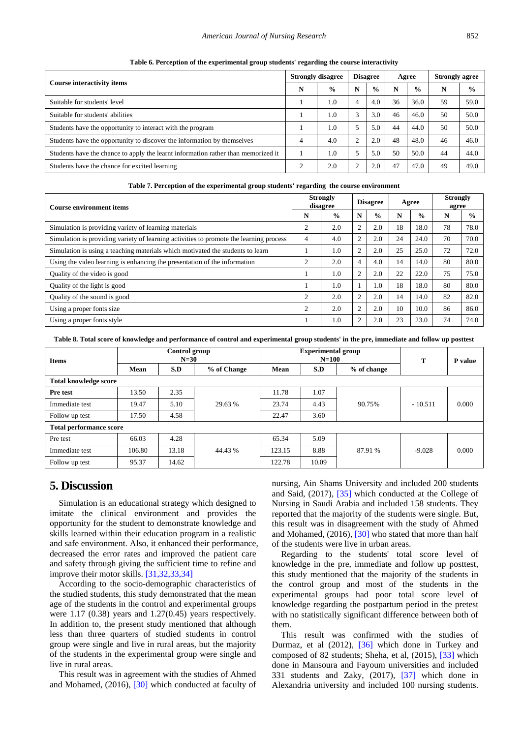#### *American Journal of Nursing Research* 852

<span id="page-6-0"></span>

| <b>Course interactivity items</b>                                                 |           | <b>Strongly disagree</b> |   | <b>Disagree</b> |    | Agree         | <b>Strongly agree</b> |               |
|-----------------------------------------------------------------------------------|-----------|--------------------------|---|-----------------|----|---------------|-----------------------|---------------|
|                                                                                   | N         | $\frac{0}{0}$            | N | $\frac{6}{9}$   | N  | $\frac{0}{0}$ | N                     | $\frac{6}{6}$ |
| Suitable for students' level                                                      |           | 1.0                      | 4 | 4.0             | 36 | 36.0          | 59                    | 59.0          |
| Suitable for students' abilities                                                  |           | 1.0                      |   | 3.0             | 46 | 46.0          | 50                    | 50.0          |
| Students have the opportunity to interact with the program                        |           | 1.0                      |   | 5.0             | 44 | 44.0          | 50                    | 50.0          |
| Students have the opportunity to discover the information by themselves           |           | 4.0                      |   | 2.0             | 48 | 48.0          | 46                    | 46.0          |
| Students have the chance to apply the learnt information rather than memorized it |           | 1.0                      |   | 5.0             | 50 | 50.0          | 44                    | 44.0          |
| Students have the chance for excited learning                                     | $\bigcap$ | 2.0                      |   | 2.0             | 47 | 47.0          | 49                    | 49.0          |

**Table 6. Perception of the experimental group students' regarding the course interactivity**

| Table 7. Perception of the experimental group students' regarding the course environment |  |  |  |
|------------------------------------------------------------------------------------------|--|--|--|
|                                                                                          |  |  |  |

<span id="page-6-1"></span>

| <b>Course environment items</b>                                                        |                | <b>Strongly</b><br>disagree |                | <b>Disagree</b> |    | Agree         |    | <b>Strongly</b><br>agree |
|----------------------------------------------------------------------------------------|----------------|-----------------------------|----------------|-----------------|----|---------------|----|--------------------------|
|                                                                                        | N              | $\frac{0}{0}$               | N              | $\frac{0}{0}$   | N  | $\frac{6}{9}$ | N  | $\frac{0}{0}$            |
| Simulation is providing variety of learning materials                                  | $\overline{2}$ | 2.0                         | $\overline{2}$ | 2.0             | 18 | 18.0          | 78 | 78.0                     |
| Simulation is providing variety of learning activities to promote the learning process | $\overline{4}$ | 4.0                         | $\overline{2}$ | 2.0             | 24 | 24.0          | 70 | 70.0                     |
| Simulation is using a teaching materials which motivated the students to learn         |                | 1.0                         | $\overline{2}$ | 2.0             | 25 | 25.0          | 72 | 72.0                     |
| Using the video learning is enhancing the presentation of the information              | $\overline{2}$ | 2.0                         | $\overline{4}$ | 4.0             | 14 | 14.0          | 80 | 80.0                     |
| Quality of the video is good                                                           |                | 1.0                         | $\overline{2}$ | 2.0             | 22 | 22.0          | 75 | 75.0                     |
| Quality of the light is good                                                           |                | 1.0                         |                | 1.0             | 18 | 18.0          | 80 | 80.0                     |
| Quality of the sound is good                                                           | $\overline{c}$ | 2.0                         | $\overline{2}$ | 2.0             | 14 | 14.0          | 82 | 82.0                     |
| Using a proper fonts size                                                              | $\overline{c}$ | 2.0                         | $\overline{2}$ | 2.0             | 10 | 10.0          | 86 | 86.0                     |
| Using a proper fonts style                                                             |                | 1.0                         | $\overline{c}$ | 2.0             | 23 | 23.0          | 74 | 74.0                     |

**Table 8. Total score of knowledge and performance of control and experimental group students' in the pre, immediate and follow up posttest**

<span id="page-6-2"></span>

| <b>Items</b>                   | Control group<br>$N=30$ |       |             |        | <b>Experimental group</b><br>$N = 100$ | T           | P value   |       |  |  |  |
|--------------------------------|-------------------------|-------|-------------|--------|----------------------------------------|-------------|-----------|-------|--|--|--|
|                                | Mean                    | S.D   | % of Change | Mean   | S.D                                    | % of change |           |       |  |  |  |
| <b>Total knowledge score</b>   |                         |       |             |        |                                        |             |           |       |  |  |  |
| Pre test                       | 13.50                   | 2.35  |             | 11.78  | 1.07                                   |             | $-10.511$ | 0.000 |  |  |  |
| Immediate test                 | 19.47                   | 5.10  | 29.63 %     | 23.74  | 4.43                                   | 90.75%      |           |       |  |  |  |
| Follow up test                 | 17.50                   | 4.58  |             | 22.47  | 3.60                                   |             |           |       |  |  |  |
| <b>Total performance score</b> |                         |       |             |        |                                        |             |           |       |  |  |  |
| Pre test                       | 66.03                   | 4.28  |             | 65.34  | 5.09                                   |             |           |       |  |  |  |
| Immediate test                 | 106.80                  | 13.18 | 44.43 %     | 123.15 | 8.88                                   | 87.91 %     | $-9.028$  | 0.000 |  |  |  |
| Follow up test                 | 95.37                   | 14.62 |             | 122.78 | 10.09                                  |             |           |       |  |  |  |

# **5. Discussion**

Simulation is an educational strategy which designed to imitate the clinical environment and provides the opportunity for the student to demonstrate knowledge and skills learned within their education program in a realistic and safe environment. Also, it enhanced their performance, decreased the error rates and improved the patient care and safety through giving the sufficient time to refine and improve their motor skills. [\[31,32,33,34\]](#page-9-3)

According to the socio-demographic characteristics of the studied students, this study demonstrated that the mean age of the students in the control and experimental groups were 1.17 (0.38) years and 1.27(0.45) years respectively. In addition to, the present study mentioned that although less than three quarters of studied students in control group were single and live in rural areas, but the majority of the students in the experimental group were single and live in rural areas.

This result was in agreement with the studies of Ahmed and Mohamed, (2016), [\[30\]](#page-9-2) which conducted at faculty of nursing, Ain Shams University and included 200 students and Said, (2017), [\[35\]](#page-9-4) which conducted at the College of Nursing in Saudi Arabia and included 158 students. They reported that the majority of the students were single. But, this result was in disagreement with the study of Ahmed and Mohamed, (2016), [\[30\]](#page-9-2) who stated that more than half of the students were live in urban areas.

Regarding to the students' total score level of knowledge in the pre, immediate and follow up posttest, this study mentioned that the majority of the students in the control group and most of the students in the experimental groups had poor total score level of knowledge regarding the postpartum period in the pretest with no statistically significant difference between both of them.

This result was confirmed with the studies of Durmaz, et al (2012), [\[36\]](#page-9-5) which done in Turkey and composed of 82 students; Sheha, et al, (2015), [\[33\]](#page-9-6) which done in Mansoura and Fayoum universities and included 331 students and Zaky, (2017), [\[37\]](#page-9-7) which done in Alexandria university and included 100 nursing students.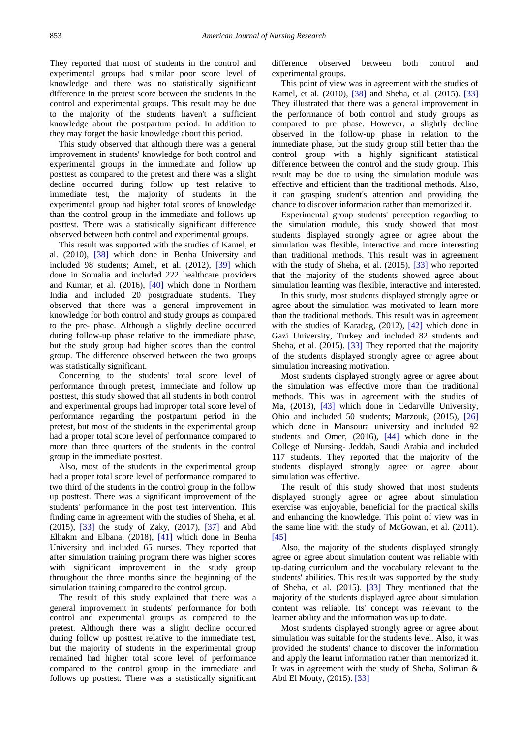They reported that most of students in the control and experimental groups had similar poor score level of knowledge and there was no statistically significant difference in the pretest score between the students in the control and experimental groups. This result may be due to the majority of the students haven't a sufficient knowledge about the postpartum period. In addition to they may forget the basic knowledge about this period.

This study observed that although there was a general improvement in students' knowledge for both control and experimental groups in the immediate and follow up posttest as compared to the pretest and there was a slight decline occurred during follow up test relative to immediate test, the majority of students in the experimental group had higher total scores of knowledge than the control group in the immediate and follows up posttest. There was a statistically significant difference observed between both control and experimental groups.

This result was supported with the studies of Kamel, et al. (2010), [\[38\]](#page-9-8) which done in Benha University and included 98 students; Ameh, et al. (2012), [\[39\]](#page-9-9) which done in Somalia and included 222 healthcare providers and Kumar, et al. (2016), [\[40\]](#page-9-10) which done in Northern India and included 20 postgraduate students. They observed that there was a general improvement in knowledge for both control and study groups as compared to the pre- phase. Although a slightly decline occurred during follow-up phase relative to the immediate phase, but the study group had higher scores than the control group. The difference observed between the two groups was statistically significant.

Concerning to the students' total score level of performance through pretest, immediate and follow up posttest, this study showed that all students in both control and experimental groups had improper total score level of performance regarding the postpartum period in the pretest, but most of the students in the experimental group had a proper total score level of performance compared to more than three quarters of the students in the control group in the immediate posttest.

Also, most of the students in the experimental group had a proper total score level of performance compared to two third of the students in the control group in the follow up posttest. There was a significant improvement of the students' performance in the post test intervention. This finding came in agreement with the studies of Sheha, et al. (2015), [\[33\]](#page-9-6) the study of Zaky, (2017), [\[37\]](#page-9-7) and Abd Elhakm and Elbana, (2018), [\[41\]](#page-9-11) which done in Benha University and included 65 nurses. They reported that after simulation training program there was higher scores with significant improvement in the study group throughout the three months since the beginning of the simulation training compared to the control group.

The result of this study explained that there was a general improvement in students' performance for both control and experimental groups as compared to the pretest. Although there was a slight decline occurred during follow up posttest relative to the immediate test, but the majority of students in the experimental group remained had higher total score level of performance compared to the control group in the immediate and follows up posttest. There was a statistically significant

difference observed between both control and experimental groups.

This point of view was in agreement with the studies of Kamel, et al. (2010), [\[38\]](#page-9-8) and Sheha, et al. (2015). [\[33\]](#page-9-6) They illustrated that there was a general improvement in the performance of both control and study groups as compared to pre phase. However, a slightly decline observed in the follow-up phase in relation to the immediate phase, but the study group still better than the control group with a highly significant statistical difference between the control and the study group. This result may be due to using the simulation module was effective and efficient than the traditional methods. Also, it can grasping student's attention and providing the chance to discover information rather than memorized it.

Experimental group students' perception regarding to the simulation module, this study showed that most students displayed strongly agree or agree about the simulation was flexible, interactive and more interesting than traditional methods. This result was in agreement with the study of Sheha, et al. (2015), [\[33\]](#page-9-6) who reported that the majority of the students showed agree about simulation learning was flexible, interactive and interested.

In this study, most students displayed strongly agree or agree about the simulation was motivated to learn more than the traditional methods. This result was in agreement with the studies of Karadag, (2012), [\[42\]](#page-9-12) which done in Gazi University, Turkey and included 82 students and Sheha, et al. (2015). [\[33\]](#page-9-6) They reported that the majority of the students displayed strongly agree or agree about simulation increasing motivation.

Most students displayed strongly agree or agree about the simulation was effective more than the traditional methods. This was in agreement with the studies of Ma, (2013), [\[43\]](#page-9-13) which done in Cedarville University, Ohio and included 50 students; Marzouk, (2015), [\[26\]](#page-9-14) which done in Mansoura university and included 92 students and Omer, (2016), [\[44\]](#page-9-15) which done in the College of Nursing- Jeddah, Saudi Arabia and included 117 students. They reported that the majority of the students displayed strongly agree or agree about simulation was effective.

The result of this study showed that most students displayed strongly agree or agree about simulation exercise was enjoyable, beneficial for the practical skills and enhancing the knowledge. This point of view was in the same line with the study of McGowan, et al. (2011). [\[45\]](#page-9-16)

Also, the majority of the students displayed strongly agree or agree about simulation content was reliable with up-dating curriculum and the vocabulary relevant to the students' abilities. This result was supported by the study of Sheha, et al. (2015). [\[33\]](#page-9-6) They mentioned that the majority of the students displayed agree about simulation content was reliable. Its' concept was relevant to the learner ability and the information was up to date.

Most students displayed strongly agree or agree about simulation was suitable for the students level. Also, it was provided the students' chance to discover the information and apply the learnt information rather than memorized it. It was in agreement with the study of Sheha, Soliman & Abd El Mouty, (2015). [\[33\]](#page-9-6)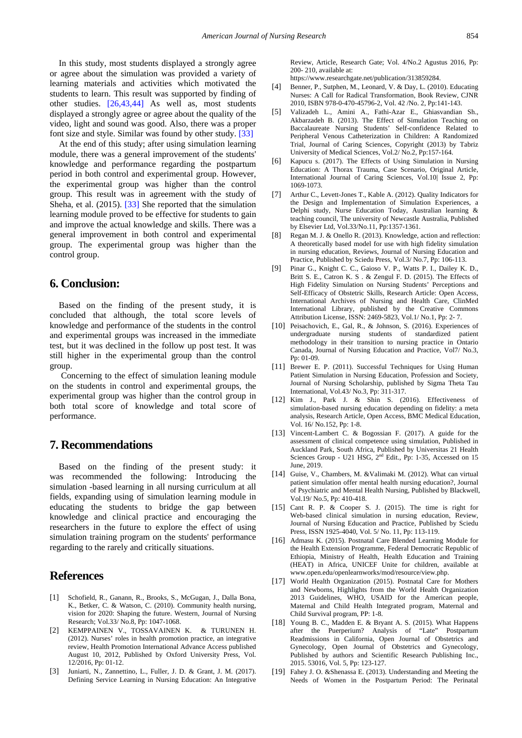In this study, most students displayed a strongly agree or agree about the simulation was provided a variety of learning materials and activities which motivated the students to learn. This result was supported by finding of other studies. [\[26,43,44\]](#page-9-14) As well as, most students displayed a strongly agree or agree about the quality of the video, light and sound was good. Also, there was a proper font size and style. Similar was found by other study. [\[33\]](#page-9-6)

At the end of this study; after using simulation learning module, there was a general improvement of the students' knowledge and performance regarding the postpartum period in both control and experimental group. However, the experimental group was higher than the control group. This result was in agreement with the study of Sheha, et al. (2015). [\[33\]](#page-9-6) She reported that the simulation learning module proved to be effective for students to gain and improve the actual knowledge and skills. There was a general improvement in both control and experimental group. The experimental group was higher than the control group.

# **6. Conclusion:**

Based on the finding of the present study, it is concluded that although, the total score levels of knowledge and performance of the students in the control and experimental groups was increased in the immediate test, but it was declined in the follow up post test. It was still higher in the experimental group than the control group.

Concerning to the effect of simulation leaning module on the students in control and experimental groups, the experimental group was higher than the control group in both total score of knowledge and total score of performance.

# **7. Recommendations**

Based on the finding of the present study: it was recommended the following: Introducing the simulation -based learning in all nursing curriculum at all fields, expanding using of simulation learning module in educating the students to bridge the gap between knowledge and clinical practice and encouraging the researchers in the future to explore the effect of using simulation training program on the students' performance regarding to the rarely and critically situations.

# **References**

- <span id="page-8-0"></span>[1] Schofield, R., Ganann, R., Brooks, S., McGugan, J., Dalla Bona, K., Betker, C. & Watson, C. (2010). Community health nursing, vision for 2020: Shaping the future. Western, Journal of Nursing Research; Vol.33/ No.8, Pp: 1047-1068.
- [2] KEMPPAINEN V., TOSSAVAINEN K. & TURUNEN H. (2012). Nurses' roles in health promotion practice, an integrative review, Health Promotion International Advance Access published August 10, 2012, Published by Oxford University Press, Vol. 12/2016, Pp: 01-12.
- [3] Juniarti, N., Zannettino, L., Fuller, J. D. & Grant, J. M. (2017). Defining Service Learning in Nursing Education: An Integrative

Review, Article, Research Gate; Vol. 4/No.2 Agustus 2016, Pp: 200- 210, available at:

https://www.researchgate.net/publication/313859284.

- <span id="page-8-1"></span>[4] Benner, P., Sutphen, M., Leonard, V. & Day, L. (2010). Educating Nurses: A Call for Radical Transformation, Book Review, CJNR 2010, ISBN 978-0-470-45796-2, Vol. 42 /No. 2, Pp:141-143.
- [5] Valizadeh L., Amini A., Fathi-Azar E., Ghiasvandian Sh., Akbarzadeh B. (2013). The Effect of Simulation Teaching on Baccalaureate Nursing Students' Self-confidence Related to Peripheral Venous Catheterization in Children: A Randomized Trial, Journal of Caring Sciences, Copyright (2013) by Tabriz University of Medical Sciences, Vol.2/ No.2, Pp:157-164.
- [6] Kapucu s. (2017). The Effects of Using Simulation in Nursing Education: A Thorax Trauma, Case Scenario, Original Article, International Journal of Caring Sciences, Vol.10| Issue 2, Pp: 1069-1073.
- <span id="page-8-2"></span>[7] Arthur C., Levett-Jones T., Kable A. (2012). Quality Indicators for the Design and Implementation of Simulation Experiences, a Delphi study, Nurse Education Today, Australian learning & teaching council, The university of Newcastle Australia, Published by Elsevier Ltd, Vol.33/No.11, Pp:1357-1361.
- [8] Regan M. J. & Onello R. (2013). Knowledge, action and reflection: A theoretically based model for use with high fidelity simulation in nursing education, Reviews, Journal of Nursing Education and Practice, Published by Sciedu Press, Vol.3/ No.7, Pp: 106-113.
- [9] Pinar G., Knight C. C., Gaioso V. P., Watts P. I., Dailey K. D., Britt S. E., Catron K. S . & Zengul F. D. (2015). The Effects of High Fidelity Simulation on Nursing Students' Perceptions and Self-Efficacy of Obstetric Skills, Research Article: Open Access, International Archives of Nursing and Health Care, ClinMed International Library, published by the Creative Commons Attribution License, ISSN: 2469-5823, Vol.1/ No.1, Pp: 2- 7.
- [10] Peisachovich, E., Gal, R., & Johnson, S. (2016). Experiences of undergraduate nursing students of standardized patient methodology in their transition to nursing practice in Ontario Canada, Journal of Nursing Education and Practice, Vol7/ No.3, Pp: 01-09.
- <span id="page-8-3"></span>[11] Brewer E. P. (2011). Successful Techniques for Using Human Patient Simulation in Nursing Education, Profession and Society, Journal of Nursing Scholarship, published by Sigma Theta Tau International, Vol.43/ No.3, Pp: 311-317.
- [12] Kim J., Park J. & Shin S. (2016). Effectiveness of simulation-based nursing education depending on fidelity: a meta analysis, Research Article, Open Access, BMC Medical Education, Vol. 16/ No.152, Pp: 1-8.
- <span id="page-8-4"></span>[13] Vincent-Lambert C. & Bogossian F. (2017). A guide for the assessment of clinical competence using simulation, Published in Auckland Park, South Africa, Published by Universitas 21 Health Sciences Group - U21 HSG, 2<sup>nd</sup> Edit., Pp: 1-35, Accessed on 15 June, 2019.
- [14] Guise, V., Chambers, M. &Valimaki M. (2012). What can virtual patient simulation offer mental health nursing education?, Journal of Psychiatric and Mental Health Nursing, Published by Blackwell, Vol.19/ No.5, Pp: 410-418.
- [15] Cant R. P. & Cooper S. J. (2015). The time is right for Web-based clinical simulation in nursing education, Review, Journal of Nursing Education and Practice, Published by Sciedu Press, ISSN 1925-4040, Vol. 5/ No. 11, Pp: 113-119.
- <span id="page-8-5"></span>[16] Admasu K. (2015). Postnatal Care Blended Learning Module for the Health Extension Programme, Federal Democratic Republic of Ethiopia, Ministry of Health, Health Education and Training (HEAT) in Africa, UNICEF Unite for children, available at www.open.edu/openlearnworks/mod/resource/view.php.
- [17] World Health Organization (2015). Postnatal Care for Mothers and Newborns, Highlights from the World Health Organization 2013 Guidelines, WHO, USAID for the American people, Maternal and Child Health Integrated program, Maternal and Child Survival program, PP: 1-8.
- [18] Young B. C., Madden E. & Bryant A. S. (2015). What Happens after the Puerperium? Analysis of "Late" Postpartum Readmissions in California, Open Journal of Obstetrics and Gynecology, Open Journal of Obstetrics and Gynecology, Published by authors and Scientific Research Publishing Inc., 2015. 53016, Vol. 5, Pp: 123-127.
- <span id="page-8-6"></span>[19] Fahey J. O. &Shenassa E. (2013). Understanding and Meeting the Needs of Women in the Postpartum Period: The Perinatal